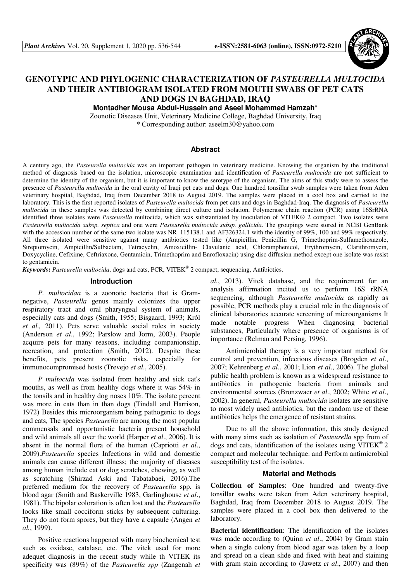

# **GENOTYPIC AND PHYLOGENIC CHARACTERIZATION OF** *PASTEURELLA MULTOCIDA*  **AND THEIR ANTIBIOGRAM ISOLATED FROM MOUTH SWABS OF PET CATS AND DOGS IN BAGHDAD, IRAQ**

**Montadher Mousa Abdul-Hussein and Aseel Mohammed Hamzah\*** 

Zoonotic Diseases Unit, Veterinary Medicine College, Baghdad University, Iraq \* Corresponding author: aseelm30@yahoo.com

## **Abstract**

A century ago, the *Pasteurella multocida* was an important pathogen in veterinary medicine. Knowing the organism by the traditional method of diagnosis based on the isolation, microscopic examination and identification of *Pasteurella multocida* are not sufficient to determine the identity of the organism, but it is important to know the serotype of the organism. The aims of this study were to assess the presence of *Pasteurella multocida* in the oral cavity of Iraqi pet cats and dogs. One hundred tonsillar swab samples were taken from Aden veterinary hospital, Baghdad, Iraq from December 2018 to August 2019. The samples were placed in a cool box and carried to the laboratory. This is the first reported isolates of *Pasteurella multocida* from pet cats and dogs in Baghdad-Iraq. The diagnosis of *Pasteurella multocida* in these samples was detected by combining direct culture and isolation, Polymerase chain reaction (PCR) using 16SrRNA identified three isolates were *Pasteurella* multocida, which was substantiated by inoculation of VITEK® 2 compact. Two isolates were *Pasteurella multocida subsp. septica* and one were *Pasteurella multocida subsp. gallicida*. The groupings were stored in NCBI GenBank with the accession number of the same two isolate was NR 115138.1 and AF326324.1 with the identity of 99%, 100 and 99% respectively. All three isolated were sensitive against many antibiotics tested like (Ampicillin, Penicillin G, Trimethoprim-Sulfamethoxazole, Streptomycin, Ampicillin/Sulbactam, Tetracyclin, Amoxicillin- Clavulanic acid, Chloramphenicol, Erythromycin, Clarithromycin, Doxycycline, Cefixime, Ceftriaxone, Gentamicin, Trimethoprim and Enrofloxacin) using disc diffusion method except one isolate was resist to gentamicin.

*Keywords***:** *Pasteurella multocida*, dogs and cats, PCR, VITEK*®* 2 compact, sequencing, Antibiotics.

#### **Introduction**

*P. multocidaa* is a zoonotic bacteria that is Gramnegative, *Pasteurella* genus mainly colonizes the upper respiratory tract and oral pharyngeal system of animals, especially cats and dogs (Smith, 1955; Bisgaard, 1993; Król *et al.,* 2011). Pets serve valuable social roles in society (Anderson *et al*., 1992; Parslow and Jorm, 2003). People acquire pets for many reasons, including companionship, recreation, and protection (Smith, 2012). Despite these benefits, pets present zoonotic risks, especially for immunocompromised hosts (Trevejo *et al*., 2005).

*P multocida* was isolated from healthy and sick cat's mouths, as well as from healthy dogs where it was 54% in the tonsils and in healthy dog noses 10%. The isolate percent was more in cats than in than dogs (Tindall and Harrison, 1972) Besides this microorganism being pathogenic to dogs and cats, The species *Pasteurella* are among the most popular commensals and opportunistic bacteria present household and wild animals all over the world (Harper *et al*., 2006). It is absent in the normal flora of the human (Capriotti *et al*., 2009).*Pasteurella* species Infections in wild and domestic animals can cause different illness; the majority of diseases among human include cat or dog scratches, chewing, as well as scratching (Shirzad Aski and Tabatabaei, 2016).The preferred medium for the recovery of *Pasteurella* spp*.* is blood agar (Smith and Baskerville 1983, Garlinghouse *et al*., 1981). The bipolar coloration is often lost and the *Pasteurella* looks like small cocciform sticks by subsequent culturing. They do not form spores, but they have a capsule (Angen *et al.*, 1999).

Positive reactions happened with many biochemical test such as oxidase, catalase, etc. The vitek used for more adequet diagnosis in the recent study while th VITEK its specificity was (89%) of the *Pasteurella spp* (Zangenah *et*  *al.*, 2013). Vitek database, and the requirement for an analysis affirmation incited us to perform 16S rRNA sequencing, although *Pasteurella multocida* as rapidly as possible, PCR methods play a crucial role in the diagnosis of clinical laboratories accurate screening of microorganisms It made notable progress When diagnosing bacterial substances, Particularly where presence of organisms is of importance (Relman and Persing, 1996).

Antimicrobial therapy is a very important method for control and prevention, infectious diseases (Brogden *et al*., 2007; Kehrenberg *et al*., 2001; Lion *et al*., 2006). The global public health problem is known as a widespread resistance to antibiotics in pathogenic bacteria from animals and environmental sources (Bronzwaer *et al*., 2002; White *et al*., 2002). In general, *Pasteurella multocida* isolates are sensitive to most widely used antibiotics, but the random use of these antibiotics helps the emergence of resistant strains.

Due to all the above information, this study designed with many aims such as isolation of *Pasteurella* spp from of dogs and cats, identification of the isolates using VITEK*®* 2 compact and molecular technique. and Perform antimicrobial susceptibility test of the isolates.

## **Material and Methods**

**Collection of Samples**: One hundred and twenty-five tonsillar swabs were taken from Aden veterinary hospital, Baghdad, Iraq from December 2018 to August 2019. The samples were placed in a cool box then delivered to the laboratory.

**Bacterial identification**: The identification of the isolates was made according to (Quinn *et al*., 2004) by Gram stain when a single colony from blood agar was taken by a loop and spread on a clean slide and fixed with heat and staining with gram stain according to (Jawetz *et al*., 2007) and then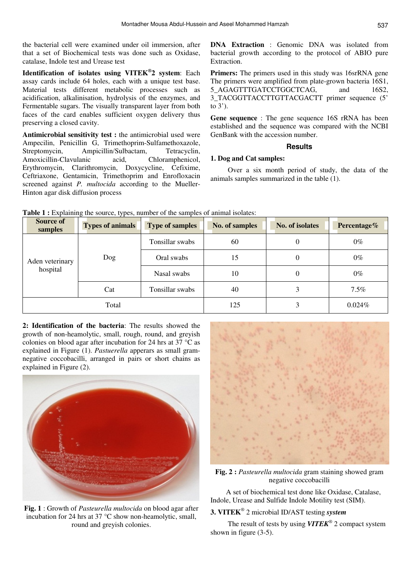the bacterial cell were examined under oil immersion, after that a set of Biochemical tests was done such as Oxidase, catalase, Indole test and Urease test

**Identification of isolates using VITEK® 2 system**: Each assay cards include 64 holes, each with a unique test base. Material tests different metabolic processes such as acidification, alkalinisation, hydrolysis of the enzymes, and Fermentable sugars. The visually transparent layer from both faces of the card enables sufficient oxygen delivery thus preserving a closed cavity.

**Antimicrobial sensitivity test :** the antimicrobial used were Ampecilin, Penicillin G, Trimethoprim-Sulfamethoxazole, Streptomycin, Ampicillin/Sulbactam, Tetracyclin, Amoxicillin-Clavulanic acid, Chloramphenicol, Erythromycin, Clarithromycin, Doxycycline, Cefixime, Ceftriaxone, Gentamicin, Trimethoprim and Enrofloxacin screened against *P. multocida* according to the Mueller-Hinton agar disk diffusion process

**DNA Extraction** : Genomic DNA was isolated from bacterial growth according to the protocol of ABIO pure Extraction.

**Primers:** The primers used in this study was 16srRNA gene The primers were amplified from plate-grown bacteria 16S1, 5 AGAGTTTGATCCTGGCTCAG, and 16S2, 3\_TACGGTTACCTTGTTACGACTT primer sequence (5' to 3').

**Gene sequence** : The gene sequence 16S rRNA has been established and the sequence was compared with the NCBI GenBank with the accession number.

## **Results**

## **1. Dog and Cat samples:**

 Over a six month period of study, the data of the animals samples summarized in the table (1).

| <b>Source of</b><br>samples | <b>Types of animals</b> | <b>Type of samples</b> | No. of samples | No. of isolates  | Percentage% |
|-----------------------------|-------------------------|------------------------|----------------|------------------|-------------|
|                             |                         | Tonsillar swabs        | 60             | $\boldsymbol{0}$ | $0\%$       |
| Aden veterinary             | Dog                     | Oral swabs             | 15             | $\boldsymbol{0}$ | $0\%$       |
| hospital                    |                         | Nasal swabs            | 10             | $\boldsymbol{0}$ | $0\%$       |
|                             | Cat                     | Tonsillar swabs        | 40             | 3                | $7.5\%$     |
|                             | Total                   |                        | 125            | 3                | $0.024\%$   |

Table 1 : Explaining the source, types, number of the samples of animal isolates:

**2: Identification of the bacteria**: The results showed the growth of non-heamolytic, small, rough, round, and greyish colonies on blood agar after incubation for 24 hrs at 37 °C as explained in Figure (1). *Pastuerella* apperars as small gramnegative coccobacilli, arranged in pairs or short chains as explained in Figure (2).



**Fig. 1** : Growth of *Pasteurella multocida* on blood agar after incubation for 24 hrs at 37 °C show non-heamolytic, small, round and greyish colonies.



**Fig. 2 :** *Pasteurella multocida* gram staining showed gram negative coccobacilli

A set of biochemical test done like Oxidase, Catalase, Indole, Urease and Sulfide Indole Motility test (SIM).

# **3. VITEK***®* 2 microbial ID/AST testing *system*

 The result of tests by using *VITEK®* 2 compact system shown in figure (3-5).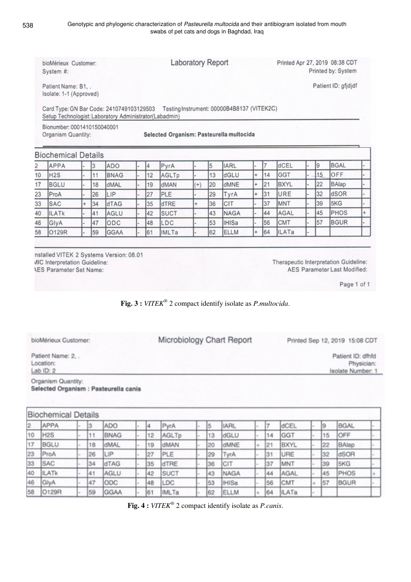| bioMérieux Customer:<br>System #:           |                                                                                                    |           |    |             |  |    | <b>Laboratory Report</b>                 |           |    |                                            |           |    | Printed Apr 27, 2019 08:38 CDT<br>Printed by: System |  |    |             |           |  |
|---------------------------------------------|----------------------------------------------------------------------------------------------------|-----------|----|-------------|--|----|------------------------------------------|-----------|----|--------------------------------------------|-----------|----|------------------------------------------------------|--|----|-------------|-----------|--|
| Patient Name: B1<br>Isolate: 1-1 (Approved) |                                                                                                    |           |    |             |  |    |                                          |           |    | Patient ID: gfjdjdf                        |           |    |                                                      |  |    |             |           |  |
|                                             | Card Type: GN Bar Code: 2410749103129503<br>Setup Technologist: Laboratory Administrator(Labadmin) |           |    |             |  |    |                                          |           |    | Testing Instrument: 00000B4B8137 (VITEK2C) |           |    |                                                      |  |    |             |           |  |
|                                             | Bionumber: 0001410150040001<br>Organism Quantity:                                                  |           |    |             |  |    | Selected Organism: Pasteurella multocida |           |    |                                            |           |    |                                                      |  |    |             |           |  |
|                                             |                                                                                                    |           |    |             |  |    |                                          |           |    |                                            |           |    |                                                      |  |    |             |           |  |
|                                             | <b>Biochemical Details</b>                                                                         |           |    |             |  |    |                                          |           |    |                                            |           |    |                                                      |  |    |             |           |  |
|                                             | APPA                                                                                               |           | l3 | ADO         |  | 14 | PyrA                                     |           | 5  | <b>IARL</b>                                |           | 17 | dCEL                                                 |  | 19 | <b>BGAL</b> |           |  |
|                                             | H <sub>2S</sub>                                                                                    |           | 11 | <b>BNAG</b> |  | 12 | AGLTp                                    |           | 13 | dGLU                                       | $+$       | 14 | <b>GGT</b>                                           |  | 15 | OFF         |           |  |
|                                             | <b>BGLU</b>                                                                                        |           | 18 | dMAL        |  | 19 | dMAN                                     | $^{(+)}$  | 20 | dMNE                                       | $\ddot{}$ | 21 | <b>BXYL</b>                                          |  | 22 | BAlap       |           |  |
| $\overline{2}$<br>10<br>17<br>23            | ProA                                                                                               |           | 26 | LIP         |  | 27 | PLE                                      |           | 29 | TyrA                                       | l+        | 31 | URE                                                  |  | 32 | dSOR        |           |  |
| 33                                          | <b>SAC</b>                                                                                         | $\ddot{}$ | 34 | dTAG        |  | 35 | dTRE                                     | $\ddot{}$ | 36 | CIT                                        |           | 37 | MNT                                                  |  | 39 | 5KG         |           |  |
| 40                                          | <b>ILATK</b>                                                                                       |           | 41 | AGLU        |  | 42 | <b>SUCT</b>                              |           | 43 | <b>NAGA</b>                                |           | 44 | AGAL                                                 |  | 45 | <b>PHOS</b> | $\ddot{}$ |  |
| 46                                          | GlyA                                                                                               |           | 47 | ODC         |  | 48 | LDC                                      |           | 53 | <b>IHISa</b>                               |           | 56 | CMT                                                  |  | 57 | <b>BGUR</b> |           |  |

nstalled VITEK 2 Systems Version: 08.01 **MIC Interpretation Guideline: AES Parameter Set Name:** 

Therapeutic Interpretation Guideline: AES Parameter Last Modified:

Page 1 of 1

Patient ID: dfhfd

Isolate Number: 1

Physician:

**Fig. 3 :** *VITEK®* 2 compact identify isolate as *P.multocida*.

bioMérieux Customer:

Microbiology Chart Report

Printed Sep 12, 2019 15:08 CDT

Patient Name: 2, . Location: Lab ID: 2

Organism Quantity: Selected Organism : Pasteurella canis

|                | <b>Biochemical Details</b> |        |    |             |    |              |    |              |     |              |    |             |  |
|----------------|----------------------------|--------|----|-------------|----|--------------|----|--------------|-----|--------------|----|-------------|--|
| $\overline{2}$ | APPA                       |        | 13 | ADO         |    | PyrA         | 15 | <b>IARL</b>  |     | dCEL         |    | <b>BGAL</b> |  |
| 10             | H <sub>2</sub> S           |        | 11 | <b>BNAG</b> | 12 | AGLTp        | 13 | dGLU         | 14  | <b>GGT</b>   | 15 | OFF         |  |
| 17             | <b>BGLU</b>                | $\sim$ | 18 | dMAL        | 19 | dMAN         | 20 | dMNE         | 21  | <b>BXYL</b>  | 22 | BAlap       |  |
| 23             | ProA                       |        | 26 | LIP         | 27 | PLE          | 29 | TyrA         | 31  | URE          | 32 | dSOR        |  |
| 33             | SAC                        |        | 34 | dTAG        | 35 | dTRE         | 36 | CIT          | 37  | MNT          | 39 | 5KG         |  |
| 40             | <b>ILATK</b>               |        | 41 | AGLU        | 42 | <b>SUCT</b>  | 43 | <b>NAGA</b>  | 44  | AGAL         | 45 | PHOS        |  |
| 46             | GlyA                       |        | 47 | ODC         | 48 | <b>LDC</b>   | 53 | <b>IHISa</b> | 56  | CMT          | 57 | <b>BGUR</b> |  |
| 58             | O129R                      |        | 59 | GGAA        | 61 | <b>IMLTa</b> | 62 | <b>ELLM</b>  | [64 | <b>ILATa</b> |    |             |  |

**Fig. 4 :** *VITEK®* 2 compact identify isolate as *P.canis*.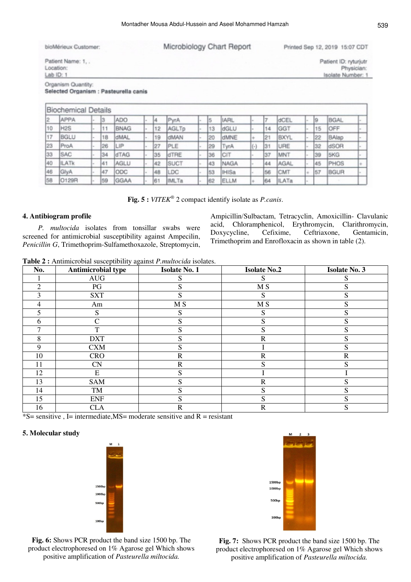| bioMérieux Customer:                      | Microbiology Chart Report | Printed Sep 12, 2019 15:07 CDT                           |
|-------------------------------------------|---------------------------|----------------------------------------------------------|
| Patient Name: 1<br>Location:<br>Lab ID: 1 |                           | Patient ID: ryturjutr<br>Physician:<br>Isolate Number: 1 |
| Organism Quantity:                        |                           |                                                          |

Selected Organism : Pasteurella canis

|    | <b>Biochemical Details</b> |       |    |             |    |              |    |              |   |     |              |    |             |  |
|----|----------------------------|-------|----|-------------|----|--------------|----|--------------|---|-----|--------------|----|-------------|--|
| 12 | APPA                       | ۰.    |    | <b>ADO</b>  | ١4 | PyrA         | 15 | <b>IARL</b>  |   |     | dCEL         | 19 | <b>BGAL</b> |  |
| 10 | H <sub>2S</sub>            | l ar  | 11 | <b>BNAG</b> | 12 | AGLTp        | 13 | dGLU         |   | 14  | GGT          | 15 | OFF         |  |
| 17 | BGLU                       | ı.    | 18 | dMAL        | 19 | dMAN         | 20 | dMNE         | ÷ | 12  | <b>BXYL</b>  | 22 | BAlap       |  |
| 23 | ProA                       | l ser | 26 | LIP         | 27 | PLE          | 29 | TyrA         |   | 31  | URE          | 32 | dSOR        |  |
| 33 | <b>SAC</b>                 |       | 34 | dTAG        | 35 | dTRE         | 36 | CIT          |   | 37  | MNT          | 39 | 5KG         |  |
| 40 | <b>ILATK</b>               |       | 41 | <b>AGLU</b> | 42 | SUCT         | 43 | NAGA         |   | 144 | AGAL         | 45 | PHOS        |  |
| 46 | GlyA                       |       | 47 | ODC         | 48 | LDC          | 53 | <b>IHISa</b> |   | 56  | <b>CMT</b>   | 57 | <b>BGUR</b> |  |
| 58 | O129R                      |       | 59 | <b>GGAA</b> | 61 | <b>IMLTa</b> | 62 | ELLM         | ÷ | 644 | <b>ILATa</b> |    |             |  |

**Fig. 5 :** *VITEK®* 2 compact identify isolate as *P.canis*.

## **4. Antibiogram profile**

*P. multocida* isolates from tonsillar swabs were screened for antimicrobial susceptibility against Ampecilin, *Penicillin G*, Trimethoprim-Sulfamethoxazole, Streptomycin, Ampicillin/Sulbactam, Tetracyclin, Amoxicillin- Clavulanic acid, Chloramphenicol, Erythromycin, Clarithromycin, Doxycycline, Cefixime, Ceftriaxone, Gentamicin, Trimethoprim and Enrofloxacin as shown in table (2).

**Table 2 :** Antimicrobial susceptibility against *P.multocida* isolates.

| No.            | <b>Antimicrobial type</b> | <b>Isolate No. 1</b> | <b>Isolate No.2</b> | <b>Isolate No. 3</b> |
|----------------|---------------------------|----------------------|---------------------|----------------------|
|                | <b>AUG</b>                | S                    | C.                  | S                    |
| $\overline{2}$ | PG                        | S                    | M <sub>S</sub>      | S                    |
| 3              | <b>SXT</b>                | S                    | S                   | S                    |
| 4              | Am                        | M <sub>S</sub>       | M <sub>S</sub>      | S                    |
| 5              | S                         | S                    | S                   | S                    |
| 6              | C                         | S                    | S                   | S                    |
|                | T                         | S                    | S                   | S                    |
| 8              | <b>DXT</b>                | S                    | $\mathbb{R}$        | S                    |
| 9              | <b>CXM</b>                | S                    |                     | S                    |
| 10             | <b>CRO</b>                | $\mathbb{R}$         | $\mathbb{R}$        | $\mathbf R$          |
| 11             | <b>CN</b>                 | $\mathbb{R}$         | S                   | S                    |
| 12             | ${\bf E}$                 | S                    |                     |                      |
| 13             | <b>SAM</b>                | S                    | $\mathbb{R}$        | S                    |
| 14             | TM                        | S                    | S                   | S                    |
| 15             | <b>ENF</b>                | S                    | S                   | S                    |
| 16             | <b>CLA</b>                | $\mathbb{R}$         | $\mathbb{R}$        | S                    |

 $-S$ = sensitive, I = intermediate, MS = moderate sensitive and R = resistant

## **5. Molecular study**



**Fig. 6:** Shows PCR product the band size 1500 bp. The product electrophoresed on 1% Agarose gel Which shows positive amplification of *Pasteurella miltocida.*



**Fig. 7:** Shows PCR product the band size 1500 bp. The product electrophoresed on 1% Agarose gel Which shows positive amplification of *Pasteurella miltocida.*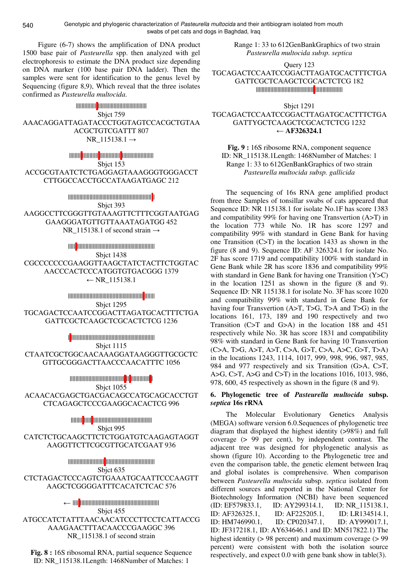Figure (6-7) shows the amplification of DNA product 1500 base pair of *Pasteurella* spp. then analyzed with gel electrophoresis to estimate the DNA product size depending on DNA marker (100 base pair DNA ladder). Then the samples were sent for identification to the genus level by Sequencing (figure 8,9), Which reveal that the three isolates confirmed as *Pasteurella multocida*.

|||||||||||||| |||||||||||||||||||||||||||||||||| Sbjct 759 AAACAGGATTAGATACCCTGGTAGTCCACGCTGTAA ACGCTGTCGATTT 807 NR  $115138.1 \rightarrow$ 

|||||||| ||||||||||| |||||||||||||| |||||||||||||||||||||| Sbjct 153 ACCGCGTAATCTCTGAGGAGTAAAGGGTGGGACCT CTTGGCCACCTGCCATAAGATGAGC 212

|||||||||||||||||||||||||||||||||||||||||||||||||||||||||| | Sbjct 393 AAGGCCTTCGGGTTGTAAAGTTCTTTCGGTAATGAG GAAGGGATGTTGTTAAATAGATGG 452 NR\_115138.1 of second strain  $\rightarrow$ 

||||| |||||||||||||||||||||||||||||||||||||||||||||||||||||| Sbjct 1438 CGCCCCCCCGAAGGTTAAGCTATCTACTTCTGGTAC AACCCACTCCCATGGTGTGACGGG 1379 ← NR  $115138.1$ 

|||||||||||||||||||||||||||||||||||||||||||||||||||| ||||||| Sbjct 1295 TGCAGACTCCAATCCGGACTTAGATGCACTTTCTGA GATTCGCTCAAGCTCGCACTCTCG 1236

| |||||||||||||||||||||||||||||||||||||||||||||||||||||||||| Sbjct 1115 CTAATCGCTGGCAACAAAGGATAAGGGTTGCGCTC GTTGCGGGACTTAACCCAACATTTC 1056

|||||||||||||||||||||||||||||||||||||| || ||||||||||||| | Sbjct 1055 ACAACACGAGCTGACGACAGCCATGCAGCACCTGT CTCAGAGCTCCCGAAGGCACACTCG 996

|||||||| ||||| ||||||||||||||||||||||||||||||||||||||||| Sbict 995 CATCTCTGCAAGCTTCTCTGGATGTCAAGAGTAGGT AAGGTTCTTCGCGTTGCATCGAAT 936

||||||||||||||||||||||||| |||||||||||||||||||||||||||||||||| Sbict 635 CTCTAGACTCCCAGTCTGAAATGCAATTCCCAAGTT AAGCTCGGGGATTTCACATCTCAC 576

← |||| ||||||||||||||||||||||||||||||||||||||||||||||||||||||| Sbjct 455 ATGCCATCTATTTAACAACATCCCTTCCTCATTACCG AAAGAACTTTACAACCCGAAGGC 396 NR 115138.1 of second strain

**Fig. 8 :** 16S ribosomal RNA, partial sequence Sequence ID: NR\_115138.1Length: 1468Number of Matches: 1

Range 1: 33 to 612GenBankGraphics of two strain *Pasteurella multocida subsp. septica*

Query 123 TGCAGACTCCAATCCGGACTTAGATGCACTTTCTGA GATTCGCTCAAGCTCGCACTCTCG 182 |||||||||||||||||||||||||||||||||||||||| |||||||||||||||||||

Sbjct 1291

TGCAGACTCCAATCCGGACTTAGATGCACTTTCTGA GATTYGCTCAAGCTCGCACTCTCG 1232 ←  $AF326324.1$ 

**Fig. 9 :** 16S ribosome RNA, component sequence ID: NR\_115138.1Length: 1468Number of Matches: 1 Range 1: 33 to 612GenBankGraphics of two strain *Pasteurella multocida subsp. gallicida*

The sequencing of 16s RNA gene amplified product from three Samples of tonsillar swabs of cats appeared that Sequence ID: NR 115138.1 for isolate No.1F has score 1383 and compatibility 99% for having one Transvertion (A>T) in the location 773 while No. 1R has score 1297 and compatibility 99% with standard in Gene Bank for having one Transition (C>T) in the location 1433 as shown in the figure (8 and 9). Sequence ID: AF 326324.1 for isolate No. 2F has score 1719 and compatibility 100% with standard in Gene Bank while 2R has score 1836 and compatibility 99% with standard in Gene Bank for having one Transition (Y>C) in the location 1251 as shown in the figure (8 and 9). Sequence ID: NR 115138.1 for isolate No. 3F has score 1020 and compatibility 99% with standard in Gene Bank for having four Transvertion (A>T, T>G, T>A and T>G) in the locations 161, 173, 189 and 190 respectively and two Transition (C>T and G>A) in the location 188 and 451 respectively while No. 3R has score 1831 and compatibility 98% with standard in Gene Bank for having 10 Transvertion (C>A, T>G, A>T, A>T, C>A, G>T, C>A, A>C, G>T, T>A) in the locations 1243, 1114, 1017, 999, 998, 996, 987, 985, 984 and 977 respectively and six Transition (G>A, C>T, A>G, C>T, A>G and C>T) in the locations 1016, 1013, 986, 978, 600, 45 respectively as shown in the figure (8 and 9).

# **6. Phylogenetic tree of** *Pasteurella multocida* **subsp.**  *septica* **16s rRNA**

The Molecular Evolutionary Genetics Analysis (MEGA) software version 6.0.Sequences of phylogenetic tree diagram that displayed the highest identity (>98%) and full coverage (> 99 per cent), by independent contrast. The adjacent tree was designed for phylogenetic analysis as shown (figure 10). According to the Phylogenetic tree and even the comparison table, the genetic element between Iraq and global isolates is comprehensive. When comparison between *Pasteurella multocida* subsp. *septica* isolated from different sources and reported in the National Center for Biotechnology Information (NCBI) have been sequenced (ID: EF579833.1, ID: AY299314.1, ID: NR\_115138.1, ID: AF326325.1, ID: AF225205.1, ID: LR134514.1, ID: HM746990.1, ID: CP020347.1, ID: AY999017.1, ID: JF317218.1, ID: AY634646.1 and ID: MN517822.1) The highest identity ( $> 98$  percent) and maximum coverage ( $> 99$ percent) were consistent with both the isolation source respectively, and expect 0.0 with gene bank show in table(3).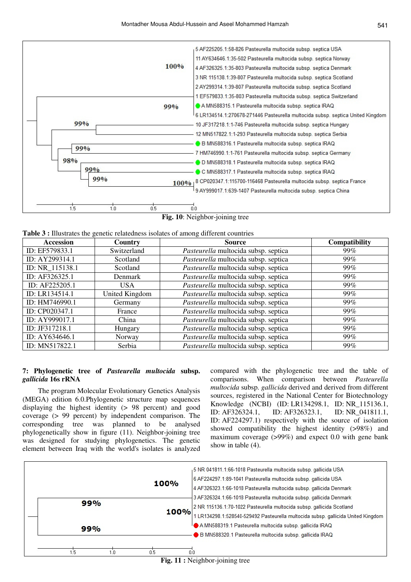

**Table 3 :** Illustrates the genetic relatedness isolates of among different countries

| <b>Accession</b> | Country        | <b>Source</b>                        | <b>Compatibility</b> |
|------------------|----------------|--------------------------------------|----------------------|
| ID: EF579833.1   | Switzerland    | Pasteurella multocida subsp. septica | 99%                  |
| ID: AY299314.1   | Scotland       | Pasteurella multocida subsp. septica | 99%                  |
| ID: NR_115138.1  | Scotland       | Pasteurella multocida subsp. septica | 99%                  |
| ID: AF326325.1   | Denmark        | Pasteurella multocida subsp. septica | 99%                  |
| ID: AF225205.1   | <b>USA</b>     | Pasteurella multocida subsp. septica | 99%                  |
| ID: LR134514.1   | United Kingdom | Pasteurella multocida subsp. septica | 99%                  |
| ID: HM746990.1   | Germany        | Pasteurella multocida subsp. septica | 99%                  |
| ID: CP020347.1   | France         | Pasteurella multocida subsp. septica | 99%                  |
| ID: AY999017.1   | China          | Pasteurella multocida subsp. septica | 99%                  |
| ID: JF317218.1   | Hungary        | Pasteurella multocida subsp. septica | 99%                  |
| ID: AY634646.1   | Norway         | Pasteurella multocida subsp. septica | 99%                  |
| ID: MN517822.1   | Serbia         | Pasteurella multocida subsp. septica | 99%                  |

## **7: Phylogenetic tree of** *Pasteurella multocida* **subsp.**  *gallicida* **16s rRNA**

The program Molecular Evolutionary Genetics Analysis (MEGA) edition 6.0.Phylogenetic structure map sequences displaying the highest identity (> 98 percent) and good coverage (> 99 percent) by independent comparison. The corresponding tree was planned to be analysed phylogenetically show in figure (11). Neighbor-joining tree was designed for studying phylogenetics. The genetic element between Iraq with the world's isolates is analyzed compared with the phylogenetic tree and the table of comparisons. When comparison between *Pasteurella multocida* subsp. *gallicida* derived and derived from different sources, registered in the National Center for Biotechnology Knowledge (NCBI) (ID: LR134298.1, ID: NR\_115136.1, ID: AF326324.1, ID: AF326323.1, ID: NR\_041811.1, ID: AF224297.1) respectively with the source of isolation showed compatibility the highest identity (>98%) and maximum coverage (>99%) and expect 0.0 with gene bank show in table (4).



**Fig. 11 :** Neighbor-joining tree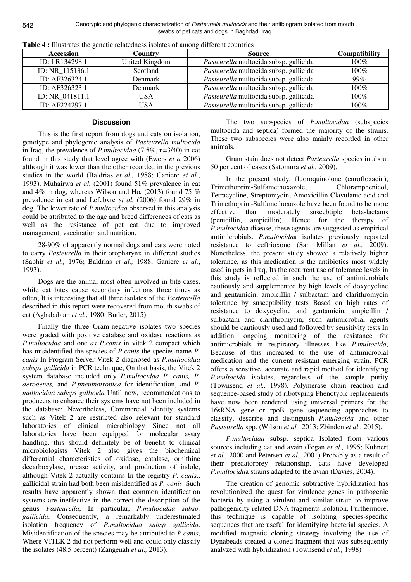| <b>Accession</b> | Country        | <b>Source</b>                          | <b>Compatibility</b> |
|------------------|----------------|----------------------------------------|----------------------|
| ID: LR134298.1   | United Kingdom | Pasteurella multocida subsp. gallicida | $100\%$              |
| ID: NR 115136.1  | Scotland       | Pasteurella multocida subsp. gallicida | 100%                 |
| ID: AF326324.1   | Denmark        | Pasteurella multocida subsp. gallicida | 99%                  |
| ID: AF326323.1   | <b>Denmark</b> | Pasteurella multocida subsp. gallicida | 100%                 |
| ID: NR 041811.1  | USA            | Pasteurella multocida subsp. gallicida | $100\%$              |
| ID: AF224297.1   | <b>USA</b>     | Pasteurella multocida subsp. gallicida | $100\%$              |

**Table 4 :** Illustrates the genetic relatedness isolates of among different countries

## **Discussion**

This is the first report from dogs and cats on isolation, genotype and phylogenic analysis of *Pasteurella multocida* in Iraq, the prevalence of *P.multocidaa* (7.5%, n=3/40) in cat found in this study that level agree with (Ewers *et a* 2006) although it was lower than the other recorded in the previous studies in the world (Baldrias *et al.,* 1988; Ganiere *et al.*, 1993). Muhairwa *et al.* (2001) found 51% prevalence in cat and 4% in dog, whereas Wilson and Ho*.* (2013) found 75 % prevalence in cat and Lefebvre *et al.* (2006) found 29% in dog. The lower rate of *P.multocidaa* observed in this analysis could be attributed to the age and breed differences of cats as well as the resistance of pet cat due to improved management, vaccination and nutrition.

28-90% of apparently normal dogs and cats were noted to carry *Pasteurella* in their oropharynx in different studies (Saphir *et al.,* 1976; Baldrias *et al.,* 1988; Ganiere *et al.*, 1993).

Dogs are the animal most often involved in bite cases, while cat bites cause secondary infections three times as often, It is interesting that all three isolates of the *Pasteurella* described in this report were recovered from mouth swabs of cat (Aghababian *et al.,* 1980; Butler, 2015).

Finally the three Gram-negative isolates two species were graded with positive catalase and oxidase reactions as *P.multocidaa* and one *as P.canis* in vitek 2 compact which has misidentified the species of *P.canis* the species name *P. canis* In Program Server Vitek 2 diagnosed as *P.multocidaa subsps gallicida* in PCR technique, On that basis, the Vitek 2 system database included only *P.multocidaa P. canis, P. aerogenes,* and *P.pneumotropica* for identification, and *P. multocidaa subsps gallicida* Until now, recommendations to producers to enhance their systems have not been included in the database; Nevertheless, Commercial identity systems such as Vitek 2 are restricted also relevant for standard laboratories of clinical microbiology Since not all laboratories have been equipped for molecular assay handling, this should definitely be of benefit to clinical microbiologists Vitek 2 also gives the biochemical differential characteristics of oxidase, catalase, ornithine decarboxylase, urease activity, and production of indole, although Vitek 2 actually contains In the registry *P. canis*., gallicidal strain had both been misidentified as *P. canis*. Such results have apparently shown that common identification systems are ineffective in the correct the description of the genus *Pasteurella*, In particular, *P.multocidaa subsp. gallicida*. Consequently, a remarkably underestimated isolation frequency of *P.multocidaa subsp gallicida*. Misidentification of the species may be attributed to *P.canis*, Where VITEK 2 did not perform well and could only classify the isolates (48.5 percent) (Zangenah *et al.,* 2013).

The two subspecies of *P.multocidaa* (subspecies multocida and septica) formed the majority of the strains. These two subspecies were also mainly recorded in other animals.

Gram stain does not detect *Pasteurella* species in about 50 per cent of cases (Satomura *et al.,* 2009).

In the present study, fluoroquinolone (enrofloxacin), Trimethoprim-Sulfamethoxazole, Chloramphenicol, Tetracycline, Streptomycin, Amoxicillin-Clavulanic acid and Trimethoprim-Sulfamethoxazole have been found to be more effective than moderately suscebtiple beta-lactams (penicillin, ampicillin). Hence for the therapy of *P.multocida*a disease, these agents are suggested as empirical antimicrobials. *P.multocida*a isolates previously reported resistance to ceftrioxone (San Millan *et al.,* 2009). Nonetheless, the present study showed a relatively higher tolerance, as this medication is the antibiotics most widely used in pets in Iraq, Its the recurrent use of tolerance levels in this study is reflected in such the use of antimicrobials cautiously and supplemented by high levels of doxycycline and gentamicin, ampicillin / sulbactam and clarithromycin tolerance by susceptibility tests Based on high rates of resistance to doxycycline and gentamicin, ampicillin / sulbactam and clarithromycin, such antimicrobial agents should be cautiously used and followed by sensitivity tests In addition, ongoing monitoring of the resistance for antimicrobials in respiratory illnesses like *P.multocida*, Because of this increased to the use of antimicrobial medication and the current resistant emerging strain. PCR offers a sensitive, accurate and rapid method for identifying *P.multocida* isolates, regardless of the sample purity (Townsend *et al.,* 1998). Polymerase chain reaction and sequence-based study of ribotyping Phenotypic replacements have now been rendered using universal primers for the 16sRNA gene or rpoB gene sequencing approaches to classify, describe and distinguish *P.multocida* and other *Pasteurella* spp. (Wilson *et al.,* 2013; Zbinden *et al.,* 2015).

*P.multocidaa* subsp. septica Isolated from various sources including cat and avain (Fegan *et al.,* 1995; Kuhnert *et al.,* 2000 and Petersen *et al.,* 2001) Probably as a result of their predatorprey relationship, cats have developed *P.multocida*a strains adapted to the avian (Davies, 2004).

The creation of genomic subtractive hybridization has revolutionized the quest for virulence genes in pathogenic bacteria by using a virulent and similar strain to improve pathogenicity-related DNA fragments isolation, Furthermore, this technique is capable of isolating species-specific sequences that are useful for identifying bacterial species. A modified magnetic cloning strategy involving the use of Dynabeads created a cloned fragment that was subsequently analyzed with hybridization (Townsend *et al.,* 1998)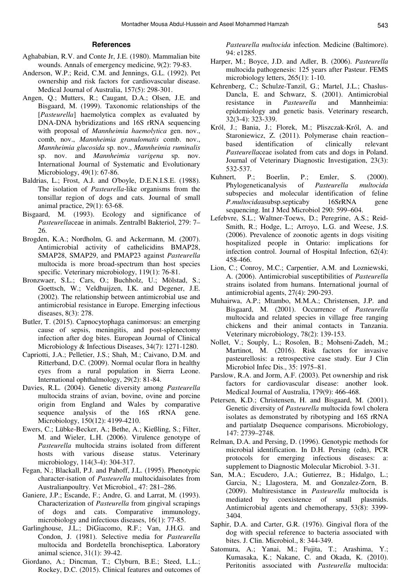#### **References**

- Aghababian, R.V. and Conte Jr, J.E. (1980). Mammalian bite wounds. Annals of emergency medicine, 9(2): 79-83.
- Anderson, W.P.; Reid, C.M. and Jennings, G.L. (1992). Pet ownership and risk factors for cardiovascular disease. Medical Journal of Australia, 157(5): 298-301.
- Angen, Q.; Mutters, R.; Caugant, D.A.; Olsen, J.E. and Bisgaard, M. (1999). Taxonomic relationships of the [*Pasteurella*] haemolytica complex as evaluated by DNA-DNA hybridizations and 16S rRNA sequencing with proposal of *Mannheimia haemolytica* gen. nov., comb, nov., *Mannheimia granulomatis* comb. nov., *Mannheimia glucosida* sp. nov., *Mannheimia ruminalis* sp. nov. and *Mannheimia varigena* sp. nov. International Journal of Systematic and Evolutionary Microbiology, 49(1): 67-86.
- Baldrias, L.; Frost, A.J. and O'boyle, D.E.N.I.S.E. (1988). The isolation of *Pasteurella*‐like organisms from the tonsillar region of dogs and cats. Journal of small animal practice, 29(1): 63-68.
- Bisgaard, M. (1993). Ecology and significance of *Pasteurella*ceae in animals. Zentralbl Bakteriol, 279: 7– 26.
- Brogden, K.A.; Nordholm, G. and Ackermann, M. (2007). Antimicrobial activity of cathelicidins BMAP28, SMAP28, SMAP29, and PMAP23 against *Pasteurella* multocida is more broad-spectrum than host species specific. Veterinary microbiology, 119(1): 76-81.
- Bronzwaer, S.L.; Cars, O.; Buchholz, U.; Mölstad, S.; Goettsch, W.; Veldhuijzen, I.K. and Degener, J.E. (2002). The relationship between antimicrobial use and antimicrobial resistance in Europe. Emerging infectious diseases, 8(3): 278.
- Butler, T. (2015). Capnocytophaga canimorsus: an emerging cause of sepsis, meningitis, and post-splenectomy infection after dog bites. European Journal of Clinical Microbiology & Infectious Diseases, 34(7): 1271-1280.
- Capriotti, J.A.; Pelletier, J.S.; Shah, M.; Caivano, D.M. and Ritterband, D.C. (2009). Normal ocular flora in healthy eyes from a rural population in Sierra Leone. International ophthalmology, 29(2): 81-84.
- Davies, R.L. (2004). Genetic diversity among *Pasteurella* multocida strains of avian, bovine, ovine and porcine origin from England and Wales by comparative sequence analysis of the 16S rRNA gene. Microbiology, 150(12): 4199-4210.
- Ewers, C.; Lübke-Becker, A.; Bethe, A.; Kießling, S.; Filter, M. and Wieler, L.H. (2006). Virulence genotype of *Pasteurella* multocida strains isolated from different hosts with various disease status. Veterinary microbiology, 114(3-4): 304-317.
- Fegan, N.; Blackall, P.J. and Pahoff, J.L. (1995). Phenotypic character-isation of *Pasteurella* multocidaisolates from Australianpoultry. Vet Microbiol., 47: 281–286.
- Ganiere, J.P.; Escande, F.; Andre, G. and Larrat, M. (1993). Characterization of *Pasteurella* from gingival scrapings of dogs and cats. Comparative immunology, microbiology and infectious diseases, 16(1): 77-85.
- Garlinghouse, J.L.; DiGiacomo, R.F.; Van, J.H.G. and Condon, J. (1981). Selective media for *Pasteurella* multocida and Bordetella bronchiseptica. Laboratory animal science, 31(1): 39-42.
- Giordano, A.; Dincman, T.; Clyburn, B.E.; Steed, L.L.; Rockey, D.C. (2015). Clinical features and outcomes of

*Pasteurella multocida* infection. Medicine (Baltimore). 94: e1285.

- Harper, M.; Boyce, J.D. and Adler, B. (2006). *Pasteurella* multocida pathogenesis: 125 years after Pasteur. FEMS microbiology letters, 265(1): 1-10.
- Kehrenberg, C.; Schulze-Tanzil, G.; Martel, J.L.; Chaslus-Dancla, E. and Schwarz, S. (2001). Antimicrobial resistance in *Pasteurella* and Mannheimia: epidemiology and genetic basis. Veterinary research, 32(3-4): 323-339.
- Król, J.; Bania, J.; Florek, M.; Pliszczak-Król, A. and Staroniewicz, Z. (2011). Polymerase chain reaction– based identification of clinically relevant *Pasteurella*ceae isolated from cats and dogs in Poland. Journal of Veterinary Diagnostic Investigation, 23(3): 532-537.
- Kuhnert, P.; Boerlin, P.; Emler, S. (2000). Phylogeneticanalysis of *Pasteurella multocida* subspecies and molecular identification of feline *P.multocida*asubsp.septicaby 16SrRNA gene sequencing. Int J Med Microbiol 290: 599–604.
- Lefebvre, S.L.; Waltner-Toews, D.; Peregrine, A.S.; Reid-Smith, R.; Hodge, L.; Arroyo, L.G. and Weese, J.S. (2006). Prevalence of zoonotic agents in dogs visiting hospitalized people in Ontario: implications for infection control. Journal of Hospital Infection, 62(4): 458-466.
- Lion, C.; Conroy, M.C.; Carpentier, A.M. and Lozniewski, A. (2006). Antimicrobial susceptibilities of *Pasteurella* strains isolated from humans. International journal of antimicrobial agents, 27(4): 290-293.
- Muhairwa, A.P.; Mtambo, M.M.A.; Christensen, J.P. and Bisgaard, M. (2001). Occurrence of *Pasteurella* multocida and related species in village free ranging chickens and their animal contacts in Tanzania. Veterinary microbiology, 78(2): 139-153.
- Nollet, V.; Souply, L.; Rosolen, B.; Mohseni-Zadeh, M.; Martinot, M. (2016). Risk factors for invasive pasteurellosis: a retrospective case study. Eur J Clin Microbiol Infec Dis., 35: 1975–81.
- Parslow, R.A. and Jorm, A.F. (2003). Pet ownership and risk factors for cardiovascular disease: another look. Medical Journal of Australia, 179(9): 466-468.
- Petersen, K.D.; Christensen, H. and Bisgaard, M. (2001). Genetic diversity of *Pasteurella* multocida fowl cholera isolates as demonstrated by ribotyping and 16S rRNA and partialatp Dsequence comparisons. Microbiology, 147: 2739–2748.
- Relman, D.A. and Persing, D. (1996). Genotypic methods for microbial identification. In D.H. Persing (edn), PCR protocols for emerging infectious diseases: a: supplement to Diagnostic Molecular Microbiol. 3-31.
- San, M.A.; Escudero, J.A.; Gutierrez, B.; Hidalgo, L.; Garcia, N.; Llagostera, M. and Gonzalez-Zorn, B. (2009). Multiresistance in *Pasteurella* multocida is mediated by coexistence of small plasmids. Antimicrobial agents and chemotherapy, 53(8): 3399- 3404.
- Saphir, D.A. and Carter, G.R. (1976). Gingival flora of the dog with special reference to bacteria associated with bites. J. Clin. Microbiol., 8: 344-349.
- Satomura, A.; Yanai, M.; Fujita, T.; Arashima, Y.; Kumasaka, K.; Nakane, C. and Okada, K. (2010). Peritonitis associated with *Pasteurella* multocida: